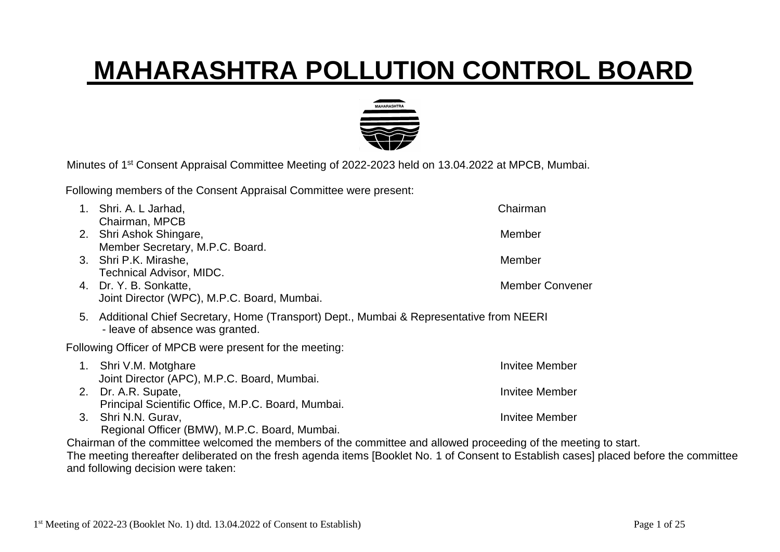## **MAHARASHTRA POLLUTION CONTROL BOARD**



Minutes of 1<sup>st</sup> Consent Appraisal Committee Meeting of 2022-2023 held on 13.04.2022 at MPCB, Mumbai.

Following members of the Consent Appraisal Committee were present:

|    | Shri. A. L Jarhad,                                                                                                        | Chairman               |  |  |  |  |
|----|---------------------------------------------------------------------------------------------------------------------------|------------------------|--|--|--|--|
| 2. | Chairman, MPCB<br>Shri Ashok Shingare,                                                                                    | Member                 |  |  |  |  |
| 3. | Member Secretary, M.P.C. Board.<br>Shri P.K. Mirashe,                                                                     | Member                 |  |  |  |  |
|    | Technical Advisor, MIDC.<br>4. Dr. Y. B. Sonkatte,<br>Joint Director (WPC), M.P.C. Board, Mumbai.                         | <b>Member Convener</b> |  |  |  |  |
| 5. | Additional Chief Secretary, Home (Transport) Dept., Mumbai & Representative from NEERI<br>- leave of absence was granted. |                        |  |  |  |  |
|    | Following Officer of MPCB were present for the meeting:                                                                   |                        |  |  |  |  |
| 1. | Shri V.M. Motghare<br>Joint Director (APC), M.P.C. Board, Mumbai.                                                         | Invitee Member         |  |  |  |  |
| 2. | Dr. A.R. Supate,                                                                                                          | <b>Invitee Member</b>  |  |  |  |  |
| 3. | Principal Scientific Office, M.P.C. Board, Mumbai.<br>Shri N.N. Gurav,<br>Regional Officer (BMW), M.P.C. Board, Mumbai.   | <b>Invitee Member</b>  |  |  |  |  |

Chairman of the committee welcomed the members of the committee and allowed proceeding of the meeting to start. The meeting thereafter deliberated on the fresh agenda items [Booklet No. 1 of Consent to Establish cases] placed before the committee and following decision were taken: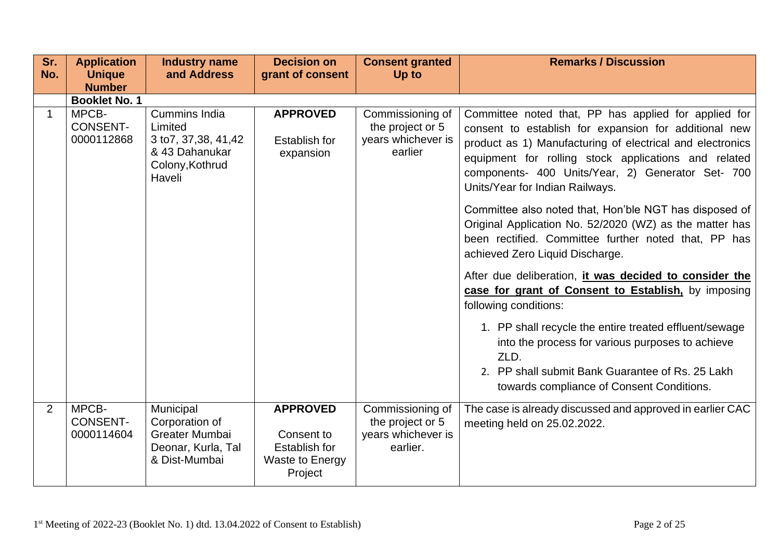| Sr.<br>No.  | <b>Application</b><br><b>Unique</b>    | <b>Industry name</b><br>and Address                                                                      | <b>Decision on</b><br>grant of consent                                              | <b>Consent granted</b><br>Up to                                        | <b>Remarks / Discussion</b>                                                                                                                                                                                                                                                                                                                                                                                                                                                                                                                                                                                                                                                                                                                                                                                                                                                                                 |
|-------------|----------------------------------------|----------------------------------------------------------------------------------------------------------|-------------------------------------------------------------------------------------|------------------------------------------------------------------------|-------------------------------------------------------------------------------------------------------------------------------------------------------------------------------------------------------------------------------------------------------------------------------------------------------------------------------------------------------------------------------------------------------------------------------------------------------------------------------------------------------------------------------------------------------------------------------------------------------------------------------------------------------------------------------------------------------------------------------------------------------------------------------------------------------------------------------------------------------------------------------------------------------------|
|             | <b>Number</b><br><b>Booklet No. 1</b>  |                                                                                                          |                                                                                     |                                                                        |                                                                                                                                                                                                                                                                                                                                                                                                                                                                                                                                                                                                                                                                                                                                                                                                                                                                                                             |
| $\mathbf 1$ | MPCB-<br><b>CONSENT-</b><br>0000112868 | <b>Cummins India</b><br>Limited<br>3 to 7, 37, 38, 41, 42<br>& 43 Dahanukar<br>Colony, Kothrud<br>Haveli | <b>APPROVED</b><br>Establish for<br>expansion                                       | Commissioning of<br>the project or 5<br>years whichever is<br>earlier  | Committee noted that, PP has applied for applied for<br>consent to establish for expansion for additional new<br>product as 1) Manufacturing of electrical and electronics<br>equipment for rolling stock applications and related<br>components- 400 Units/Year, 2) Generator Set- 700<br>Units/Year for Indian Railways.<br>Committee also noted that, Hon'ble NGT has disposed of<br>Original Application No. 52/2020 (WZ) as the matter has<br>been rectified. Committee further noted that, PP has<br>achieved Zero Liquid Discharge.<br>After due deliberation, it was decided to consider the<br>case for grant of Consent to Establish, by imposing<br>following conditions:<br>1. PP shall recycle the entire treated effluent/sewage<br>into the process for various purposes to achieve<br>ZLD.<br>2. PP shall submit Bank Guarantee of Rs. 25 Lakh<br>towards compliance of Consent Conditions. |
| 2           | MPCB-<br><b>CONSENT-</b><br>0000114604 | Municipal<br>Corporation of<br>Greater Mumbai<br>Deonar, Kurla, Tal<br>& Dist-Mumbai                     | <b>APPROVED</b><br>Consent to<br><b>Establish for</b><br>Waste to Energy<br>Project | Commissioning of<br>the project or 5<br>years whichever is<br>earlier. | The case is already discussed and approved in earlier CAC<br>meeting held on 25.02.2022.                                                                                                                                                                                                                                                                                                                                                                                                                                                                                                                                                                                                                                                                                                                                                                                                                    |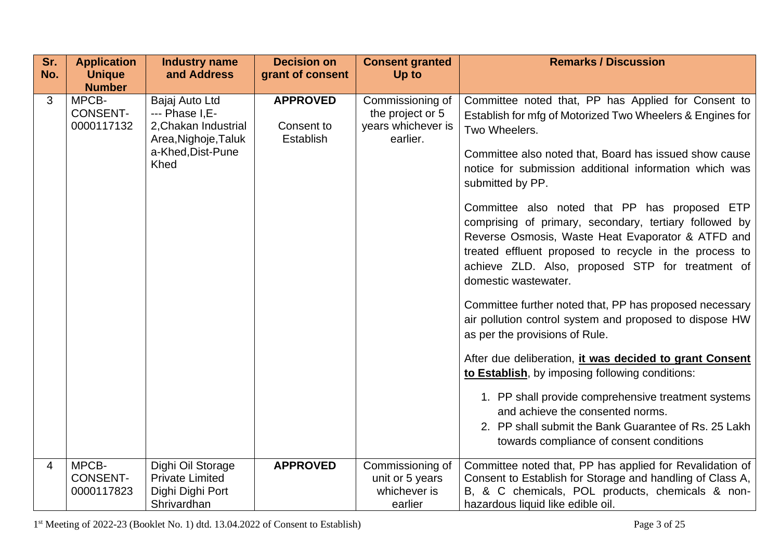| Sr. | <b>Application</b>                     | <b>Industry name</b>                                                                                           | <b>Decision on</b>                         | <b>Consent granted</b>                                                 | <b>Remarks / Discussion</b>                                                                                                                                                                                                                                                                                                                                                                                                                                                                                                                                                                                                                                                                                                                                                                                                                                                                                                                                                                                                                          |
|-----|----------------------------------------|----------------------------------------------------------------------------------------------------------------|--------------------------------------------|------------------------------------------------------------------------|------------------------------------------------------------------------------------------------------------------------------------------------------------------------------------------------------------------------------------------------------------------------------------------------------------------------------------------------------------------------------------------------------------------------------------------------------------------------------------------------------------------------------------------------------------------------------------------------------------------------------------------------------------------------------------------------------------------------------------------------------------------------------------------------------------------------------------------------------------------------------------------------------------------------------------------------------------------------------------------------------------------------------------------------------|
| No. | <b>Unique</b><br><b>Number</b>         | and Address                                                                                                    | grant of consent                           | Up to                                                                  |                                                                                                                                                                                                                                                                                                                                                                                                                                                                                                                                                                                                                                                                                                                                                                                                                                                                                                                                                                                                                                                      |
| 3   | MPCB-<br><b>CONSENT-</b><br>0000117132 | Bajaj Auto Ltd<br>--- Phase I, E-<br>2, Chakan Industrial<br>Area, Nighoje, Taluk<br>a-Khed, Dist-Pune<br>Khed | <b>APPROVED</b><br>Consent to<br>Establish | Commissioning of<br>the project or 5<br>years whichever is<br>earlier. | Committee noted that, PP has Applied for Consent to<br>Establish for mfg of Motorized Two Wheelers & Engines for<br>Two Wheelers.<br>Committee also noted that, Board has issued show cause<br>notice for submission additional information which was<br>submitted by PP.<br>Committee also noted that PP has proposed ETP<br>comprising of primary, secondary, tertiary followed by<br>Reverse Osmosis, Waste Heat Evaporator & ATFD and<br>treated effluent proposed to recycle in the process to<br>achieve ZLD. Also, proposed STP for treatment of<br>domestic wastewater.<br>Committee further noted that, PP has proposed necessary<br>air pollution control system and proposed to dispose HW<br>as per the provisions of Rule.<br>After due deliberation, it was decided to grant Consent<br>to Establish, by imposing following conditions:<br>1. PP shall provide comprehensive treatment systems<br>and achieve the consented norms.<br>2. PP shall submit the Bank Guarantee of Rs. 25 Lakh<br>towards compliance of consent conditions |
| 4   | MPCB-                                  | Dighi Oil Storage                                                                                              | <b>APPROVED</b>                            | Commissioning of                                                       | Committee noted that, PP has applied for Revalidation of                                                                                                                                                                                                                                                                                                                                                                                                                                                                                                                                                                                                                                                                                                                                                                                                                                                                                                                                                                                             |
|     | <b>CONSENT-</b>                        | <b>Private Limited</b>                                                                                         |                                            | unit or 5 years                                                        | Consent to Establish for Storage and handling of Class A,                                                                                                                                                                                                                                                                                                                                                                                                                                                                                                                                                                                                                                                                                                                                                                                                                                                                                                                                                                                            |
|     | 0000117823                             | Dighi Dighi Port<br>Shrivardhan                                                                                |                                            | whichever is<br>earlier                                                | B, & C chemicals, POL products, chemicals & non-<br>hazardous liquid like edible oil.                                                                                                                                                                                                                                                                                                                                                                                                                                                                                                                                                                                                                                                                                                                                                                                                                                                                                                                                                                |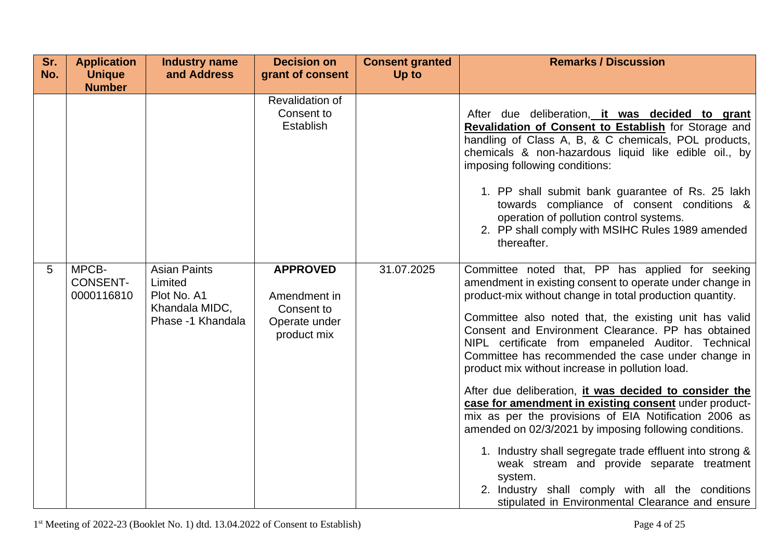| Sr.<br>No. | <b>Application</b><br><b>Unique</b>    | <b>Industry name</b><br>and Address                                                  | <b>Decision on</b><br>grant of consent                                        | <b>Consent granted</b><br>Up to | <b>Remarks / Discussion</b>                                                                                                                                                                                                                                                                                                                                                                                                                                                                                                                                                                                                                                                                                                                                                                                                                                                                                                |
|------------|----------------------------------------|--------------------------------------------------------------------------------------|-------------------------------------------------------------------------------|---------------------------------|----------------------------------------------------------------------------------------------------------------------------------------------------------------------------------------------------------------------------------------------------------------------------------------------------------------------------------------------------------------------------------------------------------------------------------------------------------------------------------------------------------------------------------------------------------------------------------------------------------------------------------------------------------------------------------------------------------------------------------------------------------------------------------------------------------------------------------------------------------------------------------------------------------------------------|
|            | <b>Number</b>                          |                                                                                      | Revalidation of<br>Consent to<br>Establish                                    |                                 | After due deliberation, it was decided to grant<br>Revalidation of Consent to Establish for Storage and<br>handling of Class A, B, & C chemicals, POL products,<br>chemicals & non-hazardous liquid like edible oil., by<br>imposing following conditions:<br>1. PP shall submit bank guarantee of Rs. 25 lakh<br>towards compliance of consent conditions &<br>operation of pollution control systems.<br>2. PP shall comply with MSIHC Rules 1989 amended<br>thereafter.                                                                                                                                                                                                                                                                                                                                                                                                                                                 |
| 5          | MPCB-<br><b>CONSENT-</b><br>0000116810 | <b>Asian Paints</b><br>Limited<br>Plot No. A1<br>Khandala MIDC,<br>Phase -1 Khandala | <b>APPROVED</b><br>Amendment in<br>Consent to<br>Operate under<br>product mix | 31.07.2025                      | Committee noted that, PP has applied for seeking<br>amendment in existing consent to operate under change in<br>product-mix without change in total production quantity.<br>Committee also noted that, the existing unit has valid<br>Consent and Environment Clearance. PP has obtained<br>NIPL certificate from empaneled Auditor. Technical<br>Committee has recommended the case under change in<br>product mix without increase in pollution load.<br>After due deliberation, it was decided to consider the<br>case for amendment in existing consent under product-<br>mix as per the provisions of EIA Notification 2006 as<br>amended on 02/3/2021 by imposing following conditions.<br>1. Industry shall segregate trade effluent into strong &<br>weak stream and provide separate treatment<br>system.<br>2. Industry shall comply with all the conditions<br>stipulated in Environmental Clearance and ensure |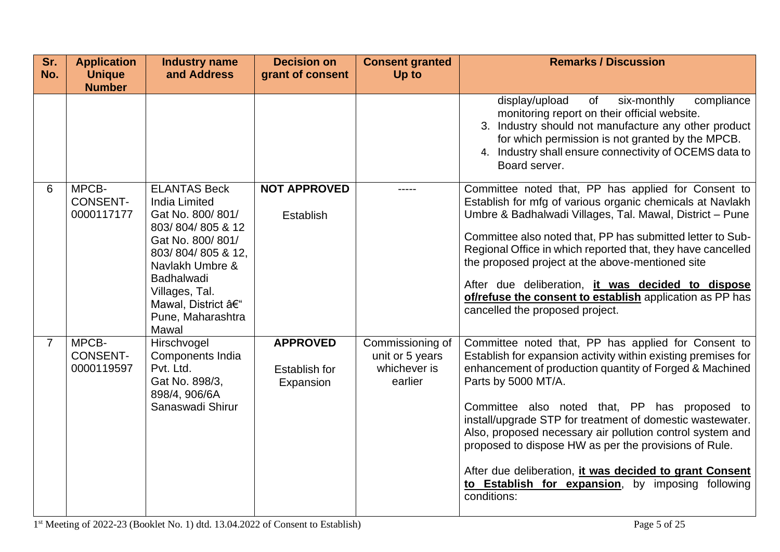| Sr.<br>No.     | <b>Application</b><br><b>Unique</b>    | <b>Industry name</b><br>and Address                                                                                                                                                                                                       | <b>Decision on</b><br>grant of consent        | <b>Consent granted</b><br>Up to                                | <b>Remarks / Discussion</b>                                                                                                                                                                                                                                                                                                                                                                                                                                                                                                                                               |
|----------------|----------------------------------------|-------------------------------------------------------------------------------------------------------------------------------------------------------------------------------------------------------------------------------------------|-----------------------------------------------|----------------------------------------------------------------|---------------------------------------------------------------------------------------------------------------------------------------------------------------------------------------------------------------------------------------------------------------------------------------------------------------------------------------------------------------------------------------------------------------------------------------------------------------------------------------------------------------------------------------------------------------------------|
|                | <b>Number</b>                          |                                                                                                                                                                                                                                           |                                               |                                                                | of<br>six-monthly<br>compliance<br>display/upload<br>monitoring report on their official website.<br>3. Industry should not manufacture any other product<br>for which permission is not granted by the MPCB.<br>4. Industry shall ensure connectivity of OCEMS data to<br>Board server.                                                                                                                                                                                                                                                                                  |
| 6              | MPCB-<br><b>CONSENT-</b><br>0000117177 | <b>ELANTAS Beck</b><br><b>India Limited</b><br>Gat No. 800/801/<br>803/804/805 & 12<br>Gat No. 800/801/<br>803/804/805 & 12,<br>Navlakh Umbre &<br><b>Badhalwadi</b><br>Villages, Tal.<br>Mawal, District –<br>Pune, Maharashtra<br>Mawal | <b>NOT APPROVED</b><br>Establish              |                                                                | Committee noted that, PP has applied for Consent to<br>Establish for mfg of various organic chemicals at Navlakh<br>Umbre & Badhalwadi Villages, Tal. Mawal, District - Pune<br>Committee also noted that, PP has submitted letter to Sub-<br>Regional Office in which reported that, they have cancelled<br>the proposed project at the above-mentioned site<br>After due deliberation, it was decided to dispose<br>of/refuse the consent to establish application as PP has<br>cancelled the proposed project.                                                         |
| $\overline{7}$ | MPCB-<br><b>CONSENT-</b><br>0000119597 | Hirschvogel<br>Components India<br>Pvt. Ltd.<br>Gat No. 898/3,<br>898/4, 906/6A<br>Sanaswadi Shirur                                                                                                                                       | <b>APPROVED</b><br>Establish for<br>Expansion | Commissioning of<br>unit or 5 years<br>whichever is<br>earlier | Committee noted that, PP has applied for Consent to<br>Establish for expansion activity within existing premises for<br>enhancement of production quantity of Forged & Machined<br>Parts by 5000 MT/A.<br>Committee also noted that, PP has proposed to<br>install/upgrade STP for treatment of domestic wastewater.<br>Also, proposed necessary air pollution control system and<br>proposed to dispose HW as per the provisions of Rule.<br>After due deliberation, it was decided to grant Consent<br>to Establish for expansion, by imposing following<br>conditions: |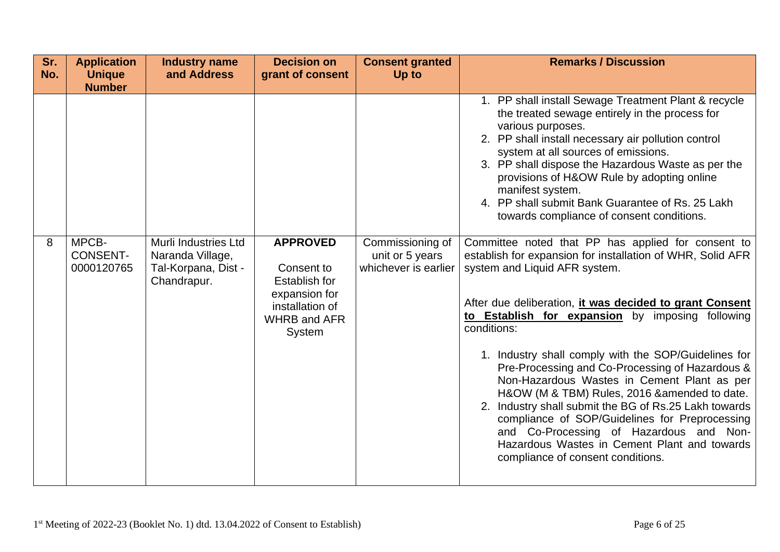| Sr.<br>No. | <b>Application</b><br><b>Unique</b><br><b>Number</b> | <b>Industry name</b><br>and Address                                            | <b>Decision on</b><br>grant of consent                                                                                     | <b>Consent granted</b><br>Up to                             | <b>Remarks / Discussion</b>                                                                                                                                                                                                                                                                                                                                                                                                                                                                                                                                                                                                                                                                                                                                                                                                                                                                                                                                                                                                                                                                                                                                                                        |
|------------|------------------------------------------------------|--------------------------------------------------------------------------------|----------------------------------------------------------------------------------------------------------------------------|-------------------------------------------------------------|----------------------------------------------------------------------------------------------------------------------------------------------------------------------------------------------------------------------------------------------------------------------------------------------------------------------------------------------------------------------------------------------------------------------------------------------------------------------------------------------------------------------------------------------------------------------------------------------------------------------------------------------------------------------------------------------------------------------------------------------------------------------------------------------------------------------------------------------------------------------------------------------------------------------------------------------------------------------------------------------------------------------------------------------------------------------------------------------------------------------------------------------------------------------------------------------------|
| 8          | MPCB-<br><b>CONSENT-</b><br>0000120765               | Murli Industries Ltd<br>Naranda Village,<br>Tal-Korpana, Dist -<br>Chandrapur. | <b>APPROVED</b><br>Consent to<br><b>Establish for</b><br>expansion for<br>installation of<br><b>WHRB and AFR</b><br>System | Commissioning of<br>unit or 5 years<br>whichever is earlier | 1. PP shall install Sewage Treatment Plant & recycle<br>the treated sewage entirely in the process for<br>various purposes.<br>2. PP shall install necessary air pollution control<br>system at all sources of emissions.<br>3. PP shall dispose the Hazardous Waste as per the<br>provisions of H&OW Rule by adopting online<br>manifest system.<br>4. PP shall submit Bank Guarantee of Rs. 25 Lakh<br>towards compliance of consent conditions.<br>Committee noted that PP has applied for consent to<br>establish for expansion for installation of WHR, Solid AFR<br>system and Liquid AFR system.<br>After due deliberation, <i>it was decided to grant Consent</i><br>to Establish for expansion by imposing following<br>conditions:<br>1. Industry shall comply with the SOP/Guidelines for<br>Pre-Processing and Co-Processing of Hazardous &<br>Non-Hazardous Wastes in Cement Plant as per<br>H&OW (M & TBM) Rules, 2016 & amended to date.<br>2. Industry shall submit the BG of Rs.25 Lakh towards<br>compliance of SOP/Guidelines for Preprocessing<br>and Co-Processing of Hazardous and Non-<br>Hazardous Wastes in Cement Plant and towards<br>compliance of consent conditions. |
|            |                                                      |                                                                                |                                                                                                                            |                                                             |                                                                                                                                                                                                                                                                                                                                                                                                                                                                                                                                                                                                                                                                                                                                                                                                                                                                                                                                                                                                                                                                                                                                                                                                    |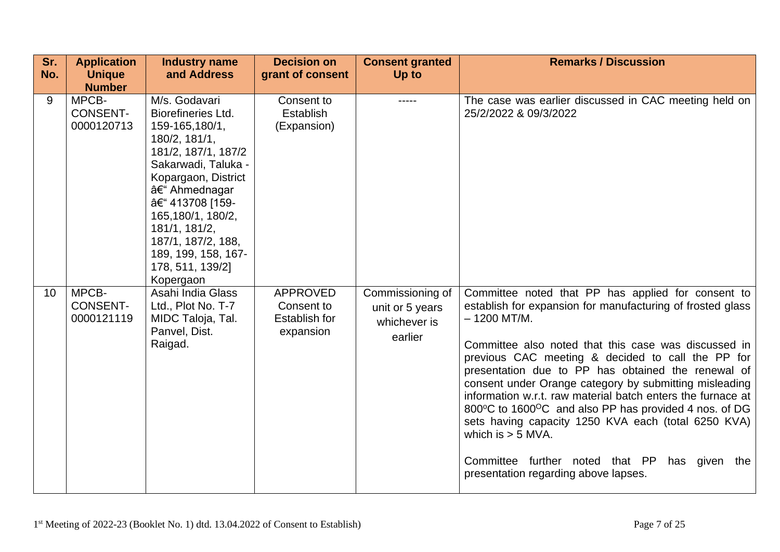| Sr.<br>No. | <b>Application</b><br><b>Unique</b><br><b>Number</b> | <b>Industry name</b><br>and Address                                                                                                                                                                                                                                                                      | <b>Decision on</b><br>grant of consent                      | <b>Consent granted</b><br>Up to                                | <b>Remarks / Discussion</b>                                                                                                                                                                                                                                                                                                                                                                                                                                                                                                                                                                                                                                      |
|------------|------------------------------------------------------|----------------------------------------------------------------------------------------------------------------------------------------------------------------------------------------------------------------------------------------------------------------------------------------------------------|-------------------------------------------------------------|----------------------------------------------------------------|------------------------------------------------------------------------------------------------------------------------------------------------------------------------------------------------------------------------------------------------------------------------------------------------------------------------------------------------------------------------------------------------------------------------------------------------------------------------------------------------------------------------------------------------------------------------------------------------------------------------------------------------------------------|
| 9          | MPCB-<br><b>CONSENT-</b><br>0000120713               | M/s. Godavari<br><b>Biorefineries Ltd.</b><br>159-165,180/1,<br>180/2, 181/1,<br>181/2, 187/1, 187/2<br>Sakarwadi, Taluka -<br>Kopargaon, District<br>– Ahmednagar<br>– 413708 [159-<br>165,180/1, 180/2,<br>181/1, 181/2,<br>187/1, 187/2, 188,<br>189, 199, 158, 167-<br>178, 511, 139/2]<br>Kopergaon | Consent to<br>Establish<br>(Expansion)                      | -----                                                          | The case was earlier discussed in CAC meeting held on<br>25/2/2022 & 09/3/2022                                                                                                                                                                                                                                                                                                                                                                                                                                                                                                                                                                                   |
| 10         | MPCB-<br><b>CONSENT-</b><br>0000121119               | Asahi India Glass<br>Ltd., Plot No. T-7<br>MIDC Taloja, Tal.<br>Panvel, Dist.<br>Raigad.                                                                                                                                                                                                                 | <b>APPROVED</b><br>Consent to<br>Establish for<br>expansion | Commissioning of<br>unit or 5 years<br>whichever is<br>earlier | Committee noted that PP has applied for consent to<br>establish for expansion for manufacturing of frosted glass<br>$-1200$ MT/M.<br>Committee also noted that this case was discussed in<br>previous CAC meeting & decided to call the PP for<br>presentation due to PP has obtained the renewal of<br>consent under Orange category by submitting misleading<br>information w.r.t. raw material batch enters the furnace at<br>800°C to 1600°C and also PP has provided 4 nos. of DG<br>sets having capacity 1250 KVA each (total 6250 KVA)<br>which is $>$ 5 MVA.<br>Committee further noted that PP has given<br>the<br>presentation regarding above lapses. |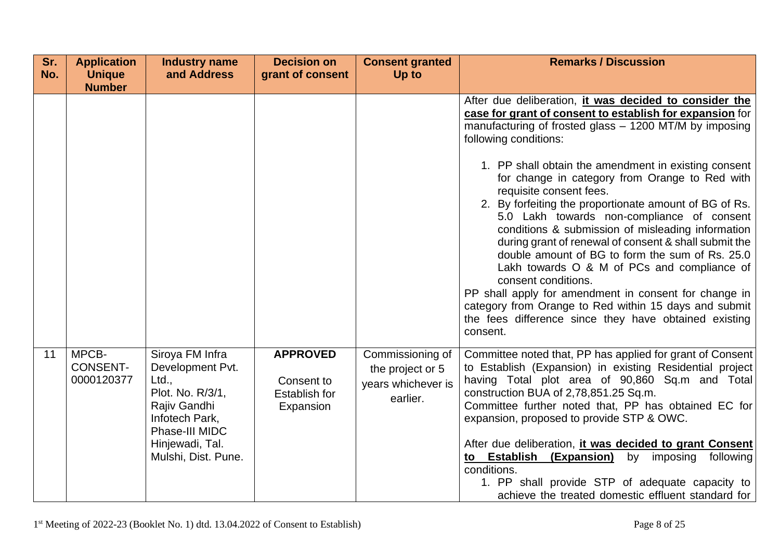| Sr.<br>No. | <b>Application</b><br><b>Unique</b>    | <b>Industry name</b><br>and Address                                                                                                                            | <b>Decision on</b><br>grant of consent                      | <b>Consent granted</b><br>Up to                                        | <b>Remarks / Discussion</b>                                                                                                                                                                                                                                                                                                                                                                                                                                                                                                                                                                                                                                                                                                                                                                                                                                                      |
|------------|----------------------------------------|----------------------------------------------------------------------------------------------------------------------------------------------------------------|-------------------------------------------------------------|------------------------------------------------------------------------|----------------------------------------------------------------------------------------------------------------------------------------------------------------------------------------------------------------------------------------------------------------------------------------------------------------------------------------------------------------------------------------------------------------------------------------------------------------------------------------------------------------------------------------------------------------------------------------------------------------------------------------------------------------------------------------------------------------------------------------------------------------------------------------------------------------------------------------------------------------------------------|
|            | <b>Number</b>                          |                                                                                                                                                                |                                                             |                                                                        | After due deliberation, it was decided to consider the<br>case for grant of consent to establish for expansion for<br>manufacturing of frosted glass – 1200 MT/M by imposing<br>following conditions:<br>1. PP shall obtain the amendment in existing consent<br>for change in category from Orange to Red with<br>requisite consent fees.<br>2. By forfeiting the proportionate amount of BG of Rs.<br>5.0 Lakh towards non-compliance of consent<br>conditions & submission of misleading information<br>during grant of renewal of consent & shall submit the<br>double amount of BG to form the sum of Rs. 25.0<br>Lakh towards O & M of PCs and compliance of<br>consent conditions.<br>PP shall apply for amendment in consent for change in<br>category from Orange to Red within 15 days and submit<br>the fees difference since they have obtained existing<br>consent. |
| 11         | MPCB-<br><b>CONSENT-</b><br>0000120377 | Siroya FM Infra<br>Development Pvt.<br>Ltd.,<br>Plot. No. R/3/1,<br>Rajiv Gandhi<br>Infotech Park,<br>Phase-III MIDC<br>Hinjewadi, Tal.<br>Mulshi, Dist. Pune. | <b>APPROVED</b><br>Consent to<br>Establish for<br>Expansion | Commissioning of<br>the project or 5<br>years whichever is<br>earlier. | Committee noted that, PP has applied for grant of Consent<br>to Establish (Expansion) in existing Residential project<br>having Total plot area of 90,860 Sq.m and Total<br>construction BUA of 2,78,851.25 Sq.m.<br>Committee further noted that, PP has obtained EC for<br>expansion, proposed to provide STP & OWC.<br>After due deliberation, it was decided to grant Consent<br>to Establish<br>(Expansion)<br>by<br>imposing<br>following<br>conditions.<br>1. PP shall provide STP of adequate capacity to<br>achieve the treated domestic effluent standard for                                                                                                                                                                                                                                                                                                          |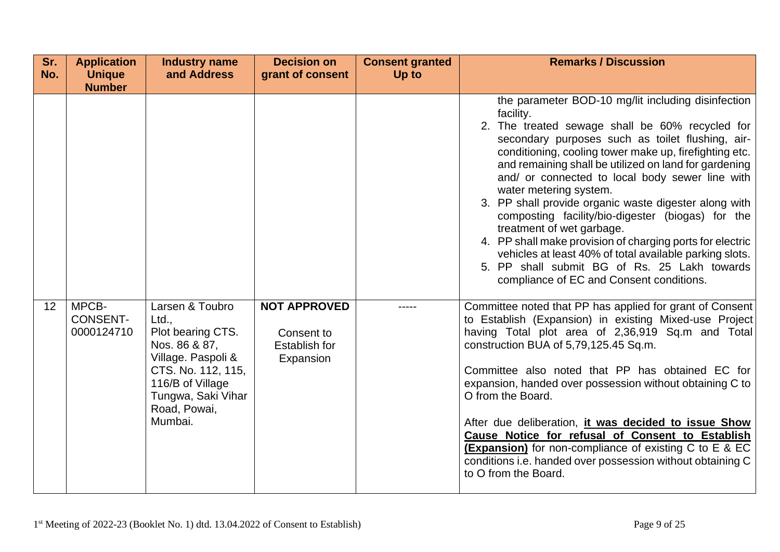| Sr. | <b>Application</b>                     | <b>Industry name</b>                                                                                                                                                            | <b>Decision on</b>                                              | <b>Consent granted</b> | <b>Remarks / Discussion</b>                                                                                                                                                                                                                                                                                                                                                                                                                                                                                                                                                                                                                                                                                                           |
|-----|----------------------------------------|---------------------------------------------------------------------------------------------------------------------------------------------------------------------------------|-----------------------------------------------------------------|------------------------|---------------------------------------------------------------------------------------------------------------------------------------------------------------------------------------------------------------------------------------------------------------------------------------------------------------------------------------------------------------------------------------------------------------------------------------------------------------------------------------------------------------------------------------------------------------------------------------------------------------------------------------------------------------------------------------------------------------------------------------|
| No. | <b>Unique</b><br><b>Number</b>         | and Address                                                                                                                                                                     | grant of consent                                                | Up to                  |                                                                                                                                                                                                                                                                                                                                                                                                                                                                                                                                                                                                                                                                                                                                       |
|     |                                        |                                                                                                                                                                                 |                                                                 |                        | the parameter BOD-10 mg/lit including disinfection<br>facility.<br>2. The treated sewage shall be 60% recycled for<br>secondary purposes such as toilet flushing, air-<br>conditioning, cooling tower make up, firefighting etc.<br>and remaining shall be utilized on land for gardening<br>and/ or connected to local body sewer line with<br>water metering system.<br>3. PP shall provide organic waste digester along with<br>composting facility/bio-digester (biogas) for the<br>treatment of wet garbage.<br>4. PP shall make provision of charging ports for electric<br>vehicles at least 40% of total available parking slots.<br>5. PP shall submit BG of Rs. 25 Lakh towards<br>compliance of EC and Consent conditions. |
| 12  | MPCB-<br><b>CONSENT-</b><br>0000124710 | Larsen & Toubro<br>Ltd.,<br>Plot bearing CTS.<br>Nos. 86 & 87,<br>Village. Paspoli &<br>CTS. No. 112, 115,<br>116/B of Village<br>Tungwa, Saki Vihar<br>Road, Powai,<br>Mumbai. | <b>NOT APPROVED</b><br>Consent to<br>Establish for<br>Expansion |                        | Committee noted that PP has applied for grant of Consent<br>to Establish (Expansion) in existing Mixed-use Project<br>having Total plot area of 2,36,919 Sq.m and Total<br>construction BUA of 5,79,125.45 Sq.m.<br>Committee also noted that PP has obtained EC for<br>expansion, handed over possession without obtaining C to<br>O from the Board.<br>After due deliberation, it was decided to issue Show<br>Cause Notice for refusal of Consent to Establish<br><b>(Expansion)</b> for non-compliance of existing C to E & EC<br>conditions i.e. handed over possession without obtaining C<br>to O from the Board.                                                                                                              |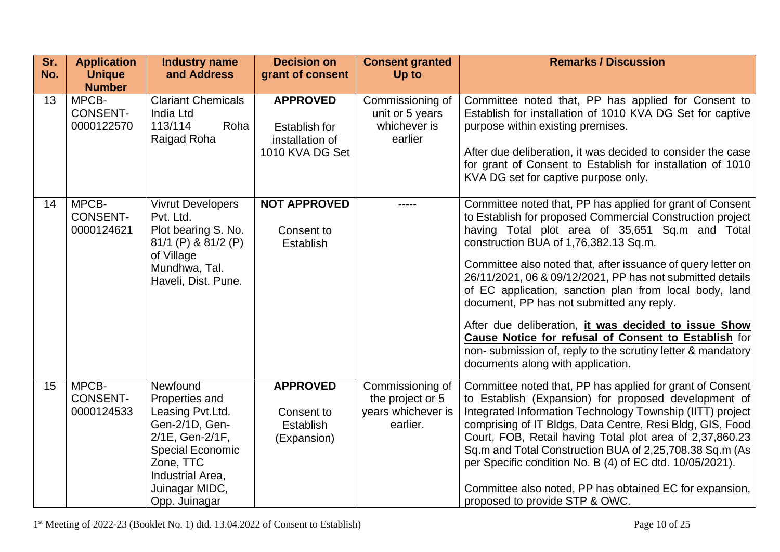| Sr.<br>No. | <b>Application</b><br><b>Unique</b><br><b>Number</b> | <b>Industry name</b><br>and Address                                                                                                                                                | <b>Decision on</b><br>grant of consent                                 | <b>Consent granted</b><br>Up to                                        | <b>Remarks / Discussion</b>                                                                                                                                                                                                                                                                                                                                                                                                                                                                                                                                                                                                                                                       |
|------------|------------------------------------------------------|------------------------------------------------------------------------------------------------------------------------------------------------------------------------------------|------------------------------------------------------------------------|------------------------------------------------------------------------|-----------------------------------------------------------------------------------------------------------------------------------------------------------------------------------------------------------------------------------------------------------------------------------------------------------------------------------------------------------------------------------------------------------------------------------------------------------------------------------------------------------------------------------------------------------------------------------------------------------------------------------------------------------------------------------|
| 13         | MPCB-<br><b>CONSENT-</b><br>0000122570               | <b>Clariant Chemicals</b><br>India Ltd<br>113/114<br>Roha<br>Raigad Roha                                                                                                           | <b>APPROVED</b><br>Establish for<br>installation of<br>1010 KVA DG Set | Commissioning of<br>unit or 5 years<br>whichever is<br>earlier         | Committee noted that, PP has applied for Consent to<br>Establish for installation of 1010 KVA DG Set for captive<br>purpose within existing premises.<br>After due deliberation, it was decided to consider the case<br>for grant of Consent to Establish for installation of 1010<br>KVA DG set for captive purpose only.                                                                                                                                                                                                                                                                                                                                                        |
| 14         | MPCB-<br><b>CONSENT-</b><br>0000124621               | <b>Vivrut Developers</b><br>Pvt. Ltd.<br>Plot bearing S. No.<br>81/1 (P) & 81/2 (P)<br>of Village<br>Mundhwa, Tal.<br>Haveli, Dist. Pune.                                          | <b>NOT APPROVED</b><br>Consent to<br>Establish                         |                                                                        | Committee noted that, PP has applied for grant of Consent<br>to Establish for proposed Commercial Construction project<br>having Total plot area of 35,651 Sq.m and Total<br>construction BUA of 1,76,382.13 Sq.m.<br>Committee also noted that, after issuance of query letter on<br>26/11/2021, 06 & 09/12/2021, PP has not submitted details<br>of EC application, sanction plan from local body, land<br>document, PP has not submitted any reply.<br>After due deliberation, it was decided to issue Show<br><b>Cause Notice for refusal of Consent to Establish for</b><br>non-submission of, reply to the scrutiny letter & mandatory<br>documents along with application. |
| 15         | MPCB-<br><b>CONSENT-</b><br>0000124533               | Newfound<br>Properties and<br>Leasing Pvt.Ltd.<br>Gen-2/1D, Gen-<br>2/1E, Gen-2/1F,<br><b>Special Economic</b><br>Zone, TTC<br>Industrial Area,<br>Juinagar MIDC,<br>Opp. Juinagar | <b>APPROVED</b><br>Consent to<br>Establish<br>(Expansion)              | Commissioning of<br>the project or 5<br>years whichever is<br>earlier. | Committee noted that, PP has applied for grant of Consent<br>to Establish (Expansion) for proposed development of<br>Integrated Information Technology Township (IITT) project<br>comprising of IT Bldgs, Data Centre, Resi Bldg, GIS, Food<br>Court, FOB, Retail having Total plot area of 2,37,860.23<br>Sq.m and Total Construction BUA of 2,25,708.38 Sq.m (As<br>per Specific condition No. B (4) of EC dtd. 10/05/2021).<br>Committee also noted, PP has obtained EC for expansion,<br>proposed to provide STP & OWC.                                                                                                                                                       |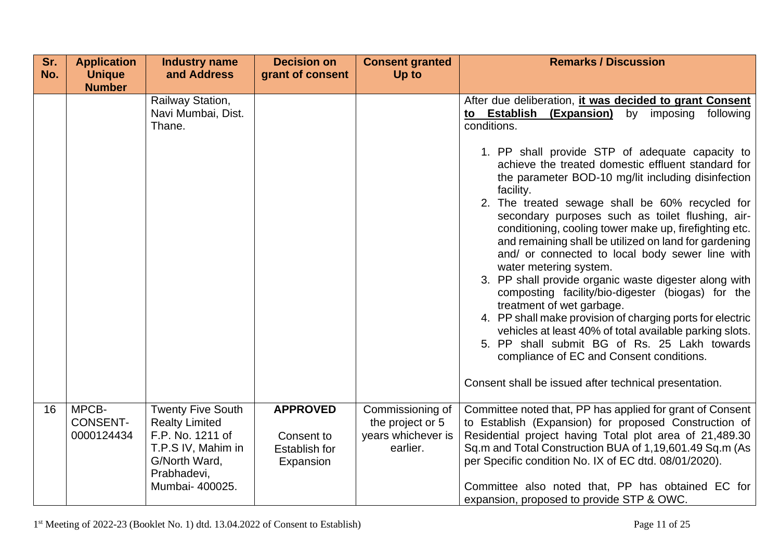| Sr. | <b>Application</b>                     | <b>Industry name</b>                                                                                                                           | <b>Decision on</b>                                                 | <b>Consent granted</b>                                                 | <b>Remarks / Discussion</b>                                                                                                                                                                                                                                                                                                                                                                                                                                                                                                                                                                                                                                                                                                           |
|-----|----------------------------------------|------------------------------------------------------------------------------------------------------------------------------------------------|--------------------------------------------------------------------|------------------------------------------------------------------------|---------------------------------------------------------------------------------------------------------------------------------------------------------------------------------------------------------------------------------------------------------------------------------------------------------------------------------------------------------------------------------------------------------------------------------------------------------------------------------------------------------------------------------------------------------------------------------------------------------------------------------------------------------------------------------------------------------------------------------------|
| No. | <b>Unique</b>                          | and Address                                                                                                                                    | grant of consent                                                   | Up to                                                                  |                                                                                                                                                                                                                                                                                                                                                                                                                                                                                                                                                                                                                                                                                                                                       |
|     | <b>Number</b>                          |                                                                                                                                                |                                                                    |                                                                        |                                                                                                                                                                                                                                                                                                                                                                                                                                                                                                                                                                                                                                                                                                                                       |
|     |                                        | Railway Station,<br>Navi Mumbai, Dist.<br>Thane.                                                                                               |                                                                    |                                                                        | After due deliberation, it was decided to grant Consent<br>to Establish<br>(Expansion)<br>following<br>by<br>imposing<br>conditions.<br>1. PP shall provide STP of adequate capacity to<br>achieve the treated domestic effluent standard for<br>the parameter BOD-10 mg/lit including disinfection<br>facility.<br>2. The treated sewage shall be 60% recycled for<br>secondary purposes such as toilet flushing, air-<br>conditioning, cooling tower make up, firefighting etc.<br>and remaining shall be utilized on land for gardening<br>and/ or connected to local body sewer line with<br>water metering system.<br>3. PP shall provide organic waste digester along with<br>composting facility/bio-digester (biogas) for the |
|     |                                        |                                                                                                                                                |                                                                    |                                                                        | treatment of wet garbage.<br>4. PP shall make provision of charging ports for electric<br>vehicles at least 40% of total available parking slots.<br>5. PP shall submit BG of Rs. 25 Lakh towards<br>compliance of EC and Consent conditions.<br>Consent shall be issued after technical presentation.                                                                                                                                                                                                                                                                                                                                                                                                                                |
| 16  | MPCB-<br><b>CONSENT-</b><br>0000124434 | <b>Twenty Five South</b><br><b>Realty Limited</b><br>F.P. No. 1211 of<br>T.P.S IV, Mahim in<br>G/North Ward,<br>Prabhadevi,<br>Mumbai- 400025. | <b>APPROVED</b><br>Consent to<br><b>Establish for</b><br>Expansion | Commissioning of<br>the project or 5<br>years whichever is<br>earlier. | Committee noted that, PP has applied for grant of Consent<br>to Establish (Expansion) for proposed Construction of<br>Residential project having Total plot area of 21,489.30<br>Sq.m and Total Construction BUA of 1,19,601.49 Sq.m (As<br>per Specific condition No. IX of EC dtd. 08/01/2020).<br>Committee also noted that, PP has obtained EC for<br>expansion, proposed to provide STP & OWC.                                                                                                                                                                                                                                                                                                                                   |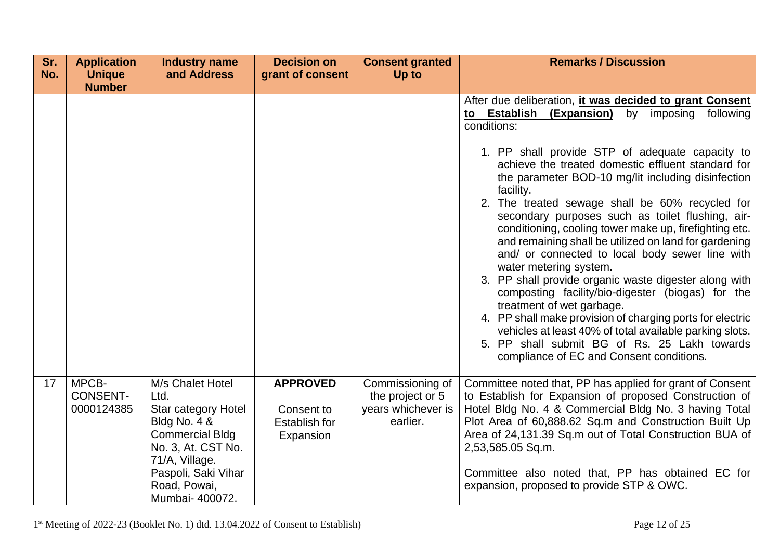| Sr. | <b>Application</b>                     | <b>Industry name</b>                                                                                                                                                                        | <b>Decision on</b>                                          | <b>Consent granted</b>                                                 | <b>Remarks / Discussion</b>                                                                                                                                                                                                                                                                                                                                                                                                                                                                                                                                                                                                                                                      |
|-----|----------------------------------------|---------------------------------------------------------------------------------------------------------------------------------------------------------------------------------------------|-------------------------------------------------------------|------------------------------------------------------------------------|----------------------------------------------------------------------------------------------------------------------------------------------------------------------------------------------------------------------------------------------------------------------------------------------------------------------------------------------------------------------------------------------------------------------------------------------------------------------------------------------------------------------------------------------------------------------------------------------------------------------------------------------------------------------------------|
| No. | <b>Unique</b><br><b>Number</b>         | and Address                                                                                                                                                                                 | grant of consent                                            | Up to                                                                  |                                                                                                                                                                                                                                                                                                                                                                                                                                                                                                                                                                                                                                                                                  |
|     |                                        |                                                                                                                                                                                             |                                                             |                                                                        | After due deliberation, it was decided to grant Consent<br>to Establish<br>following<br>(Expansion)<br>by<br>imposing<br>conditions:<br>1. PP shall provide STP of adequate capacity to<br>achieve the treated domestic effluent standard for<br>the parameter BOD-10 mg/lit including disinfection<br>facility.<br>2. The treated sewage shall be 60% recycled for<br>secondary purposes such as toilet flushing, air-<br>conditioning, cooling tower make up, firefighting etc.<br>and remaining shall be utilized on land for gardening<br>and/ or connected to local body sewer line with<br>water metering system.<br>3. PP shall provide organic waste digester along with |
|     |                                        |                                                                                                                                                                                             |                                                             |                                                                        | composting facility/bio-digester (biogas) for the<br>treatment of wet garbage.<br>4. PP shall make provision of charging ports for electric<br>vehicles at least 40% of total available parking slots.<br>5. PP shall submit BG of Rs. 25 Lakh towards<br>compliance of EC and Consent conditions.                                                                                                                                                                                                                                                                                                                                                                               |
| 17  | MPCB-<br><b>CONSENT-</b><br>0000124385 | M/s Chalet Hotel<br>Ltd.<br>Star category Hotel<br>Bldg No. 4 &<br><b>Commercial Bldg</b><br>No. 3, At. CST No.<br>71/A, Village.<br>Paspoli, Saki Vihar<br>Road, Powai,<br>Mumbai- 400072. | <b>APPROVED</b><br>Consent to<br>Establish for<br>Expansion | Commissioning of<br>the project or 5<br>years whichever is<br>earlier. | Committee noted that, PP has applied for grant of Consent<br>to Establish for Expansion of proposed Construction of<br>Hotel Bldg No. 4 & Commercial Bldg No. 3 having Total<br>Plot Area of 60,888.62 Sq.m and Construction Built Up<br>Area of 24,131.39 Sq.m out of Total Construction BUA of<br>2,53,585.05 Sq.m.<br>Committee also noted that, PP has obtained EC for<br>expansion, proposed to provide STP & OWC.                                                                                                                                                                                                                                                          |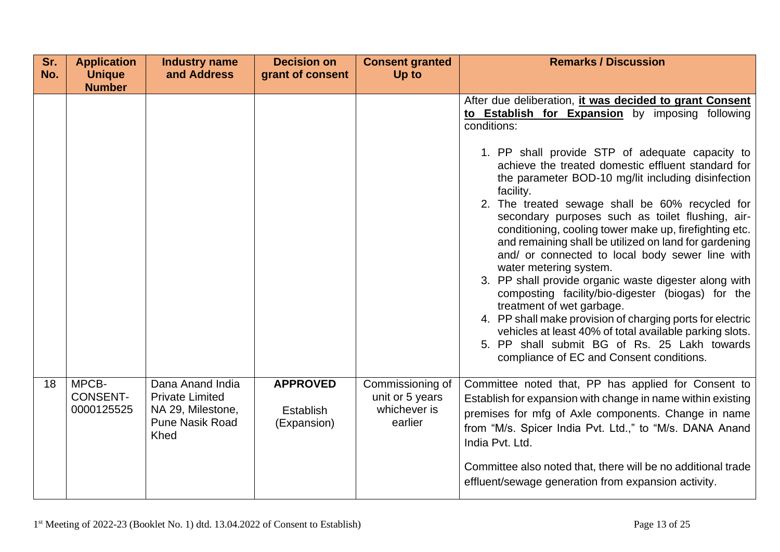| Sr.<br>No. | <b>Application</b><br><b>Unique</b>    | <b>Industry name</b><br>and Address                                                               | <b>Decision on</b><br>grant of consent      | <b>Consent granted</b><br>Up to                                | <b>Remarks / Discussion</b>                                                                                                                                                                                                                                                                                                                                                                                                                                                                                                                                                                                                                                                                                                                                                                 |
|------------|----------------------------------------|---------------------------------------------------------------------------------------------------|---------------------------------------------|----------------------------------------------------------------|---------------------------------------------------------------------------------------------------------------------------------------------------------------------------------------------------------------------------------------------------------------------------------------------------------------------------------------------------------------------------------------------------------------------------------------------------------------------------------------------------------------------------------------------------------------------------------------------------------------------------------------------------------------------------------------------------------------------------------------------------------------------------------------------|
|            | <b>Number</b>                          |                                                                                                   |                                             |                                                                |                                                                                                                                                                                                                                                                                                                                                                                                                                                                                                                                                                                                                                                                                                                                                                                             |
|            |                                        |                                                                                                   |                                             |                                                                | After due deliberation, it was decided to grant Consent<br>to Establish for Expansion by imposing following<br>conditions:<br>1. PP shall provide STP of adequate capacity to                                                                                                                                                                                                                                                                                                                                                                                                                                                                                                                                                                                                               |
|            |                                        |                                                                                                   |                                             |                                                                | achieve the treated domestic effluent standard for<br>the parameter BOD-10 mg/lit including disinfection<br>facility.<br>2. The treated sewage shall be 60% recycled for<br>secondary purposes such as toilet flushing, air-<br>conditioning, cooling tower make up, firefighting etc.<br>and remaining shall be utilized on land for gardening<br>and/ or connected to local body sewer line with<br>water metering system.<br>3. PP shall provide organic waste digester along with<br>composting facility/bio-digester (biogas) for the<br>treatment of wet garbage.<br>4. PP shall make provision of charging ports for electric<br>vehicles at least 40% of total available parking slots.<br>5. PP shall submit BG of Rs. 25 Lakh towards<br>compliance of EC and Consent conditions. |
| 18         | MPCB-<br><b>CONSENT-</b><br>0000125525 | Dana Anand India<br><b>Private Limited</b><br>NA 29, Milestone,<br><b>Pune Nasik Road</b><br>Khed | <b>APPROVED</b><br>Establish<br>(Expansion) | Commissioning of<br>unit or 5 years<br>whichever is<br>earlier | Committee noted that, PP has applied for Consent to<br>Establish for expansion with change in name within existing<br>premises for mfg of Axle components. Change in name<br>from "M/s. Spicer India Pvt. Ltd.," to "M/s. DANA Anand<br>India Pvt. Ltd.<br>Committee also noted that, there will be no additional trade<br>effluent/sewage generation from expansion activity.                                                                                                                                                                                                                                                                                                                                                                                                              |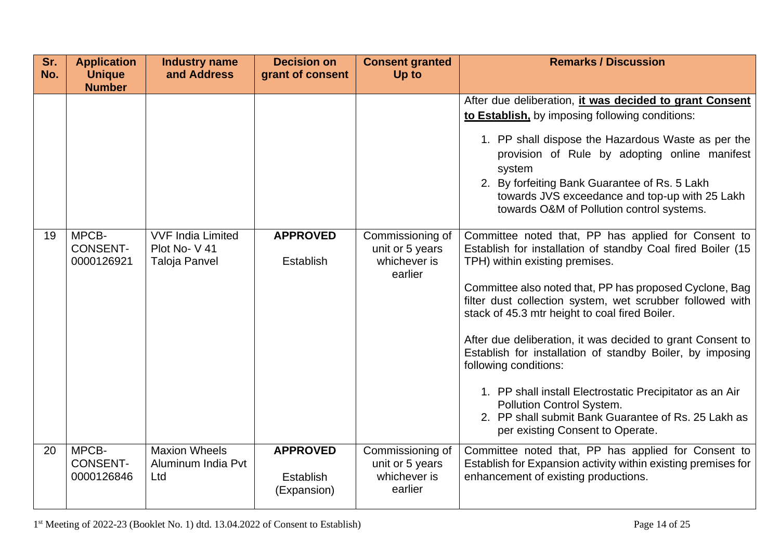| Sr.<br>No. | <b>Application</b><br><b>Unique</b>       | <b>Industry name</b><br>and Address               | <b>Decision on</b><br>grant of consent      | <b>Consent granted</b><br>Up to                                | <b>Remarks / Discussion</b>                                                                                                                                                                                                                                                                                                                                                                                                                                                                                                                      |
|------------|-------------------------------------------|---------------------------------------------------|---------------------------------------------|----------------------------------------------------------------|--------------------------------------------------------------------------------------------------------------------------------------------------------------------------------------------------------------------------------------------------------------------------------------------------------------------------------------------------------------------------------------------------------------------------------------------------------------------------------------------------------------------------------------------------|
| 19         | <b>Number</b><br>MPCB-<br><b>CONSENT-</b> | <b>VVF India Limited</b><br>Plot No-V41           | <b>APPROVED</b>                             | Commissioning of<br>unit or 5 years                            | After due deliberation, it was decided to grant Consent<br>to Establish, by imposing following conditions:<br>1. PP shall dispose the Hazardous Waste as per the<br>provision of Rule by adopting online manifest<br>system<br>2. By forfeiting Bank Guarantee of Rs. 5 Lakh<br>towards JVS exceedance and top-up with 25 Lakh<br>towards O&M of Pollution control systems.<br>Committee noted that, PP has applied for Consent to<br>Establish for installation of standby Coal fired Boiler (15                                                |
|            | 0000126921                                | Taloja Panvel                                     | Establish                                   | whichever is<br>earlier                                        | TPH) within existing premises.<br>Committee also noted that, PP has proposed Cyclone, Bag<br>filter dust collection system, wet scrubber followed with<br>stack of 45.3 mtr height to coal fired Boiler.<br>After due deliberation, it was decided to grant Consent to<br>Establish for installation of standby Boiler, by imposing<br>following conditions:<br>1. PP shall install Electrostatic Precipitator as an Air<br>Pollution Control System.<br>2. PP shall submit Bank Guarantee of Rs. 25 Lakh as<br>per existing Consent to Operate. |
| 20         | MPCB-<br><b>CONSENT-</b><br>0000126846    | <b>Maxion Wheels</b><br>Aluminum India Pvt<br>Ltd | <b>APPROVED</b><br>Establish<br>(Expansion) | Commissioning of<br>unit or 5 years<br>whichever is<br>earlier | Committee noted that, PP has applied for Consent to<br>Establish for Expansion activity within existing premises for<br>enhancement of existing productions.                                                                                                                                                                                                                                                                                                                                                                                     |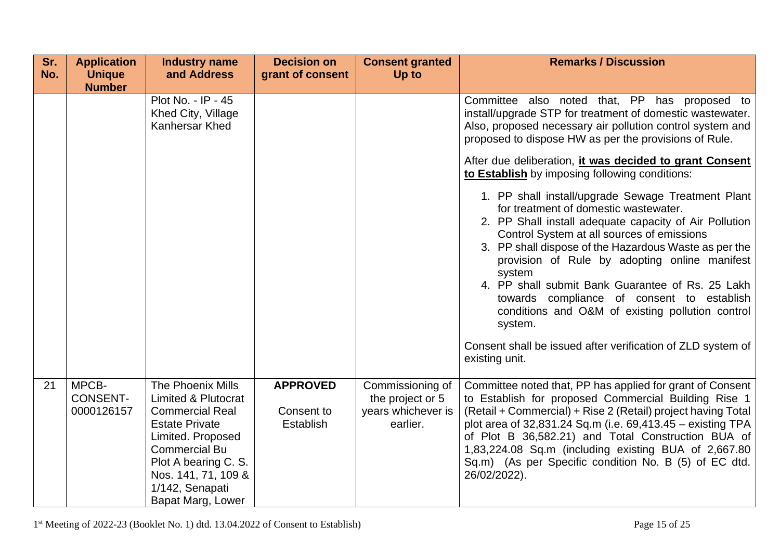| Sr. | <b>Application</b>                     | <b>Industry name</b>                                                                                                                                                                                                                       | <b>Decision on</b>                         | <b>Consent granted</b>                                                 | <b>Remarks / Discussion</b>                                                                                                                                                                                                                                                                                                                                                                                                                                                                                                                                                                                                                                                                                                                                                                                                                                                                                                |
|-----|----------------------------------------|--------------------------------------------------------------------------------------------------------------------------------------------------------------------------------------------------------------------------------------------|--------------------------------------------|------------------------------------------------------------------------|----------------------------------------------------------------------------------------------------------------------------------------------------------------------------------------------------------------------------------------------------------------------------------------------------------------------------------------------------------------------------------------------------------------------------------------------------------------------------------------------------------------------------------------------------------------------------------------------------------------------------------------------------------------------------------------------------------------------------------------------------------------------------------------------------------------------------------------------------------------------------------------------------------------------------|
| No. | <b>Unique</b>                          | and Address                                                                                                                                                                                                                                | grant of consent                           | Up to                                                                  |                                                                                                                                                                                                                                                                                                                                                                                                                                                                                                                                                                                                                                                                                                                                                                                                                                                                                                                            |
|     | <b>Number</b>                          | Plot No. - IP - 45<br>Khed City, Village<br>Kanhersar Khed                                                                                                                                                                                 |                                            |                                                                        | Committee also noted that, PP has proposed to<br>install/upgrade STP for treatment of domestic wastewater.<br>Also, proposed necessary air pollution control system and<br>proposed to dispose HW as per the provisions of Rule.<br>After due deliberation, it was decided to grant Consent<br>to Establish by imposing following conditions:<br>1. PP shall install/upgrade Sewage Treatment Plant<br>for treatment of domestic wastewater.<br>2. PP Shall install adequate capacity of Air Pollution<br>Control System at all sources of emissions<br>3. PP shall dispose of the Hazardous Waste as per the<br>provision of Rule by adopting online manifest<br>system<br>4. PP shall submit Bank Guarantee of Rs. 25 Lakh<br>towards compliance of consent to establish<br>conditions and O&M of existing pollution control<br>system.<br>Consent shall be issued after verification of ZLD system of<br>existing unit. |
| 21  | MPCB-<br><b>CONSENT-</b><br>0000126157 | The Phoenix Mills<br><b>Limited &amp; Plutocrat</b><br><b>Commercial Real</b><br><b>Estate Private</b><br>Limited. Proposed<br><b>Commercial Bu</b><br>Plot A bearing C. S.<br>Nos. 141, 71, 109 &<br>1/142, Senapati<br>Bapat Marg, Lower | <b>APPROVED</b><br>Consent to<br>Establish | Commissioning of<br>the project or 5<br>years whichever is<br>earlier. | Committee noted that, PP has applied for grant of Consent<br>to Establish for proposed Commercial Building Rise 1<br>(Retail + Commercial) + Rise 2 (Retail) project having Total<br>plot area of 32,831.24 Sq.m (i.e. 69,413.45 – existing TPA<br>of Plot B 36,582.21) and Total Construction BUA of<br>1,83,224.08 Sq.m (including existing BUA of 2,667.80<br>Sq.m) (As per Specific condition No. B (5) of EC dtd.<br>26/02/2022).                                                                                                                                                                                                                                                                                                                                                                                                                                                                                     |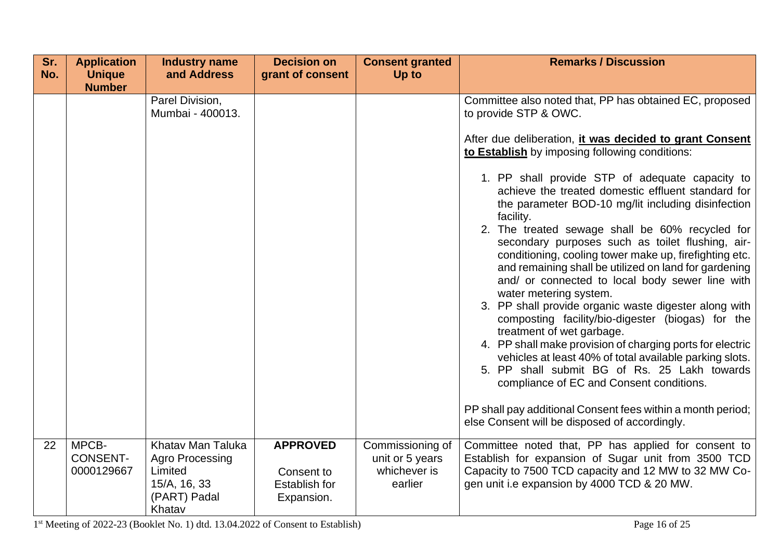| Sr. | <b>Application</b>                     | <b>Industry name</b>                                                                             | <b>Decision on</b>                                                  | <b>Consent granted</b>                                         | <b>Remarks / Discussion</b>                                                                                                                                                                                                                                                                                                                                                                                                                                                                                                                                                                                                                                                                                                                                                                                                                                                                                                                                                                                                                                                                                                                                     |
|-----|----------------------------------------|--------------------------------------------------------------------------------------------------|---------------------------------------------------------------------|----------------------------------------------------------------|-----------------------------------------------------------------------------------------------------------------------------------------------------------------------------------------------------------------------------------------------------------------------------------------------------------------------------------------------------------------------------------------------------------------------------------------------------------------------------------------------------------------------------------------------------------------------------------------------------------------------------------------------------------------------------------------------------------------------------------------------------------------------------------------------------------------------------------------------------------------------------------------------------------------------------------------------------------------------------------------------------------------------------------------------------------------------------------------------------------------------------------------------------------------|
| No. | <b>Unique</b><br><b>Number</b>         | and Address                                                                                      | grant of consent                                                    | Up to                                                          |                                                                                                                                                                                                                                                                                                                                                                                                                                                                                                                                                                                                                                                                                                                                                                                                                                                                                                                                                                                                                                                                                                                                                                 |
|     |                                        | Parel Division,<br>Mumbai - 400013.                                                              |                                                                     |                                                                | Committee also noted that, PP has obtained EC, proposed<br>to provide STP & OWC.<br>After due deliberation, it was decided to grant Consent<br>to Establish by imposing following conditions:<br>1. PP shall provide STP of adequate capacity to<br>achieve the treated domestic effluent standard for<br>the parameter BOD-10 mg/lit including disinfection<br>facility.<br>2. The treated sewage shall be 60% recycled for<br>secondary purposes such as toilet flushing, air-<br>conditioning, cooling tower make up, firefighting etc.<br>and remaining shall be utilized on land for gardening<br>and/ or connected to local body sewer line with<br>water metering system.<br>3. PP shall provide organic waste digester along with<br>composting facility/bio-digester (biogas) for the<br>treatment of wet garbage.<br>4. PP shall make provision of charging ports for electric<br>vehicles at least 40% of total available parking slots.<br>5. PP shall submit BG of Rs. 25 Lakh towards<br>compliance of EC and Consent conditions.<br>PP shall pay additional Consent fees within a month period;<br>else Consent will be disposed of accordingly. |
| 22  | MPCB-<br><b>CONSENT-</b><br>0000129667 | Khatav Man Taluka<br><b>Agro Processing</b><br>Limited<br>15/A, 16, 33<br>(PART) Padal<br>Khatav | <b>APPROVED</b><br>Consent to<br><b>Establish for</b><br>Expansion. | Commissioning of<br>unit or 5 years<br>whichever is<br>earlier | Committee noted that, PP has applied for consent to<br>Establish for expansion of Sugar unit from 3500 TCD<br>Capacity to 7500 TCD capacity and 12 MW to 32 MW Co-<br>gen unit i.e expansion by 4000 TCD & 20 MW.                                                                                                                                                                                                                                                                                                                                                                                                                                                                                                                                                                                                                                                                                                                                                                                                                                                                                                                                               |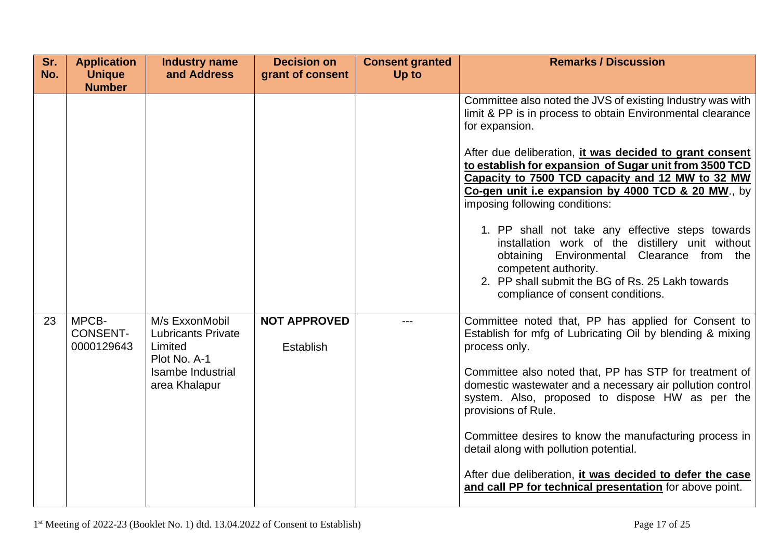| Sr.<br>No. | <b>Application</b><br><b>Unique</b>    | <b>Industry name</b><br>and Address                                    | <b>Decision on</b><br>grant of consent | <b>Consent granted</b><br>Up to | <b>Remarks / Discussion</b>                                                                                                                                                                                                                                         |
|------------|----------------------------------------|------------------------------------------------------------------------|----------------------------------------|---------------------------------|---------------------------------------------------------------------------------------------------------------------------------------------------------------------------------------------------------------------------------------------------------------------|
|            | <b>Number</b>                          |                                                                        |                                        |                                 |                                                                                                                                                                                                                                                                     |
|            |                                        |                                                                        |                                        |                                 | Committee also noted the JVS of existing Industry was with<br>limit & PP is in process to obtain Environmental clearance<br>for expansion.                                                                                                                          |
|            |                                        |                                                                        |                                        |                                 | After due deliberation, it was decided to grant consent<br>to establish for expansion of Sugar unit from 3500 TCD<br>Capacity to 7500 TCD capacity and 12 MW to 32 MW<br>Co-gen unit i.e expansion by 4000 TCD & 20 MW., by<br>imposing following conditions:       |
|            |                                        |                                                                        |                                        |                                 | 1. PP shall not take any effective steps towards<br>installation work of the distillery unit without<br>obtaining Environmental Clearance from the<br>competent authority.<br>2. PP shall submit the BG of Rs. 25 Lakh towards<br>compliance of consent conditions. |
| 23         | MPCB-<br><b>CONSENT-</b><br>0000129643 | M/s ExxonMobil<br><b>Lubricants Private</b><br>Limited<br>Plot No. A-1 | <b>NOT APPROVED</b><br>Establish       | ---                             | Committee noted that, PP has applied for Consent to<br>Establish for mfg of Lubricating Oil by blending & mixing<br>process only.                                                                                                                                   |
|            |                                        | Isambe Industrial<br>area Khalapur                                     |                                        |                                 | Committee also noted that, PP has STP for treatment of<br>domestic wastewater and a necessary air pollution control<br>system. Also, proposed to dispose HW as per the<br>provisions of Rule.                                                                       |
|            |                                        |                                                                        |                                        |                                 | Committee desires to know the manufacturing process in<br>detail along with pollution potential.                                                                                                                                                                    |
|            |                                        |                                                                        |                                        |                                 | After due deliberation, it was decided to defer the case<br>and call PP for technical presentation for above point.                                                                                                                                                 |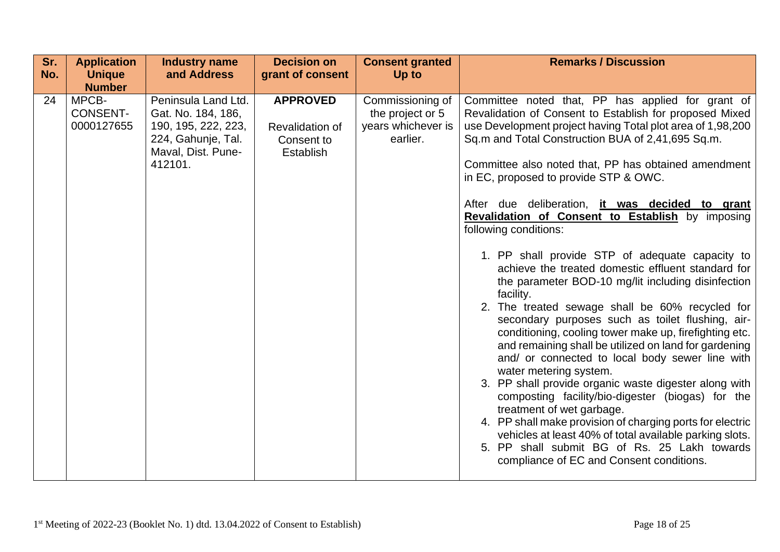| Sr.<br>No. | <b>Application</b><br><b>Unique</b><br><b>Number</b> | <b>Industry name</b><br>and Address                                                                                     | <b>Decision on</b><br>grant of consent                               | <b>Consent granted</b><br>Up to                                        | <b>Remarks / Discussion</b>                                                                                                                                                                                                                                                                                                                                                                                                                                                                                                                                                                                                                                                                                                                                                                                                                                                                                                                                                                                                                                                                                                                                                                                                                                                                                        |
|------------|------------------------------------------------------|-------------------------------------------------------------------------------------------------------------------------|----------------------------------------------------------------------|------------------------------------------------------------------------|--------------------------------------------------------------------------------------------------------------------------------------------------------------------------------------------------------------------------------------------------------------------------------------------------------------------------------------------------------------------------------------------------------------------------------------------------------------------------------------------------------------------------------------------------------------------------------------------------------------------------------------------------------------------------------------------------------------------------------------------------------------------------------------------------------------------------------------------------------------------------------------------------------------------------------------------------------------------------------------------------------------------------------------------------------------------------------------------------------------------------------------------------------------------------------------------------------------------------------------------------------------------------------------------------------------------|
| 24         | MPCB-<br><b>CONSENT-</b><br>0000127655               | Peninsula Land Ltd.<br>Gat. No. 184, 186,<br>190, 195, 222, 223,<br>224, Gahunje, Tal.<br>Maval, Dist. Pune-<br>412101. | <b>APPROVED</b><br>Revalidation of<br>Consent to<br><b>Establish</b> | Commissioning of<br>the project or 5<br>years whichever is<br>earlier. | Committee noted that, PP has applied for grant of<br>Revalidation of Consent to Establish for proposed Mixed<br>use Development project having Total plot area of 1,98,200<br>Sq.m and Total Construction BUA of 2,41,695 Sq.m.<br>Committee also noted that, PP has obtained amendment<br>in EC, proposed to provide STP & OWC.<br>After due deliberation, it was decided to grant<br>Revalidation of Consent to Establish by imposing<br>following conditions:<br>1. PP shall provide STP of adequate capacity to<br>achieve the treated domestic effluent standard for<br>the parameter BOD-10 mg/lit including disinfection<br>facility.<br>2. The treated sewage shall be 60% recycled for<br>secondary purposes such as toilet flushing, air-<br>conditioning, cooling tower make up, firefighting etc.<br>and remaining shall be utilized on land for gardening<br>and/ or connected to local body sewer line with<br>water metering system.<br>3. PP shall provide organic waste digester along with<br>composting facility/bio-digester (biogas) for the<br>treatment of wet garbage.<br>4. PP shall make provision of charging ports for electric<br>vehicles at least 40% of total available parking slots.<br>5. PP shall submit BG of Rs. 25 Lakh towards<br>compliance of EC and Consent conditions. |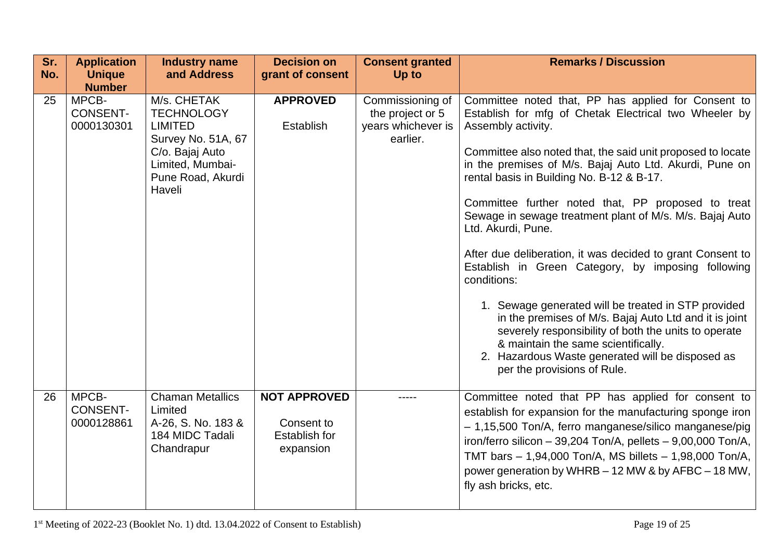| Sr.<br>No. | <b>Application</b><br><b>Unique</b>                     | <b>Industry name</b><br>and Address                                                                                                            | <b>Decision on</b><br>grant of consent                                 | <b>Consent granted</b><br>Up to                                        | <b>Remarks / Discussion</b>                                                                                                                                                                                                                                                                                                                                                                                                                                                                                                                                                                                                                                                                                                                                                                                                                                                             |
|------------|---------------------------------------------------------|------------------------------------------------------------------------------------------------------------------------------------------------|------------------------------------------------------------------------|------------------------------------------------------------------------|-----------------------------------------------------------------------------------------------------------------------------------------------------------------------------------------------------------------------------------------------------------------------------------------------------------------------------------------------------------------------------------------------------------------------------------------------------------------------------------------------------------------------------------------------------------------------------------------------------------------------------------------------------------------------------------------------------------------------------------------------------------------------------------------------------------------------------------------------------------------------------------------|
| 25         | <b>Number</b><br>MPCB-<br><b>CONSENT-</b><br>0000130301 | M/s. CHETAK<br><b>TECHNOLOGY</b><br><b>LIMITED</b><br>Survey No. 51A, 67<br>C/o. Bajaj Auto<br>Limited, Mumbai-<br>Pune Road, Akurdi<br>Haveli | <b>APPROVED</b><br>Establish                                           | Commissioning of<br>the project or 5<br>years whichever is<br>earlier. | Committee noted that, PP has applied for Consent to<br>Establish for mfg of Chetak Electrical two Wheeler by<br>Assembly activity.<br>Committee also noted that, the said unit proposed to locate<br>in the premises of M/s. Bajaj Auto Ltd. Akurdi, Pune on<br>rental basis in Building No. B-12 & B-17.<br>Committee further noted that, PP proposed to treat<br>Sewage in sewage treatment plant of M/s. M/s. Bajaj Auto<br>Ltd. Akurdi, Pune.<br>After due deliberation, it was decided to grant Consent to<br>Establish in Green Category, by imposing following<br>conditions:<br>1. Sewage generated will be treated in STP provided<br>in the premises of M/s. Bajaj Auto Ltd and it is joint<br>severely responsibility of both the units to operate<br>& maintain the same scientifically.<br>2. Hazardous Waste generated will be disposed as<br>per the provisions of Rule. |
| 26         | MPCB-<br><b>CONSENT-</b><br>0000128861                  | <b>Chaman Metallics</b><br>Limited<br>A-26, S. No. 183 &<br>184 MIDC Tadali<br>Chandrapur                                                      | <b>NOT APPROVED</b><br>Consent to<br><b>Establish for</b><br>expansion |                                                                        | Committee noted that PP has applied for consent to<br>establish for expansion for the manufacturing sponge iron<br>- 1,15,500 Ton/A, ferro manganese/silico manganese/pig<br>iron/ferro silicon - 39,204 Ton/A, pellets - 9,00,000 Ton/A,<br>TMT bars $-1,94,000$ Ton/A, MS billets $-1,98,000$ Ton/A,<br>power generation by WHRB - 12 MW & by AFBC - 18 MW,<br>fly ash bricks, etc.                                                                                                                                                                                                                                                                                                                                                                                                                                                                                                   |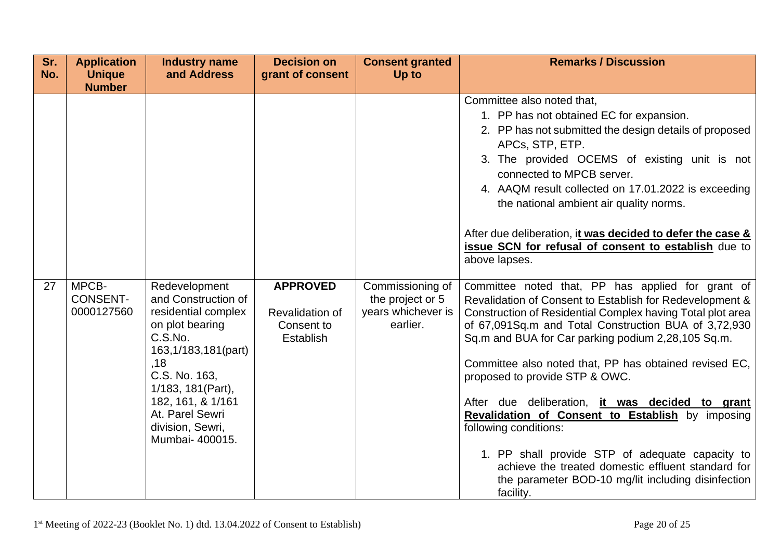| Sr.<br>No. | <b>Application</b><br><b>Unique</b>       | <b>Industry name</b><br>and Address                                                                                                                                                                  | <b>Decision on</b><br>grant of consent     | <b>Consent granted</b><br>Up to      | <b>Remarks / Discussion</b>                                                                                                                                                                                                                                                                                                                                                                                                                                                                                                                                                                 |
|------------|-------------------------------------------|------------------------------------------------------------------------------------------------------------------------------------------------------------------------------------------------------|--------------------------------------------|--------------------------------------|---------------------------------------------------------------------------------------------------------------------------------------------------------------------------------------------------------------------------------------------------------------------------------------------------------------------------------------------------------------------------------------------------------------------------------------------------------------------------------------------------------------------------------------------------------------------------------------------|
| 27         | <b>Number</b><br>MPCB-<br><b>CONSENT-</b> | Redevelopment<br>and Construction of                                                                                                                                                                 | <b>APPROVED</b>                            | Commissioning of<br>the project or 5 | Committee also noted that,<br>1. PP has not obtained EC for expansion.<br>2. PP has not submitted the design details of proposed<br>APCs, STP, ETP.<br>3. The provided OCEMS of existing unit is not<br>connected to MPCB server.<br>4. AAQM result collected on 17.01.2022 is exceeding<br>the national ambient air quality norms.<br>After due deliberation, it was decided to defer the case &<br>issue SCN for refusal of consent to establish due to<br>above lapses.<br>Committee noted that, PP has applied for grant of<br>Revalidation of Consent to Establish for Redevelopment & |
|            | 0000127560                                | residential complex<br>on plot bearing<br>C.S.No.<br>163,1/183,181(part)<br>,18<br>C.S. No. 163,<br>1/183, 181(Part),<br>182, 161, & 1/161<br>At. Parel Sewri<br>division, Sewri,<br>Mumbai- 400015. | Revalidation of<br>Consent to<br>Establish | years whichever is<br>earlier.       | Construction of Residential Complex having Total plot area<br>of 67,091Sq.m and Total Construction BUA of 3,72,930<br>Sq.m and BUA for Car parking podium 2,28,105 Sq.m.<br>Committee also noted that, PP has obtained revised EC,<br>proposed to provide STP & OWC.<br>After due deliberation, it was decided to grant<br>Revalidation of Consent to Establish by imposing<br>following conditions:<br>1. PP shall provide STP of adequate capacity to<br>achieve the treated domestic effluent standard for<br>the parameter BOD-10 mg/lit including disinfection<br>facility.            |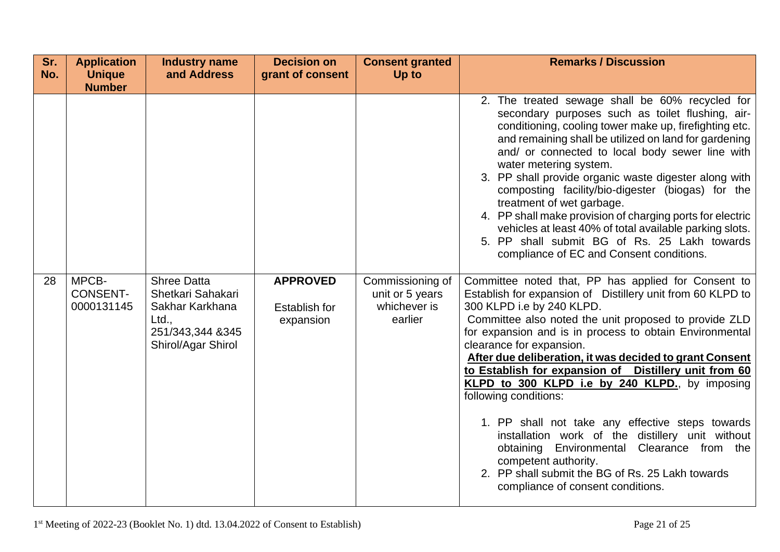| Sr.<br>No. | <b>Application</b><br><b>Unique</b><br><b>Number</b> | <b>Industry name</b><br>and Address                                                                           | <b>Decision on</b><br>grant of consent               | <b>Consent granted</b><br>Up to                                | <b>Remarks / Discussion</b>                                                                                                                                                                                                                                                                                                                                                                                                                                                                                                                                                                                                                                                                                                                                             |
|------------|------------------------------------------------------|---------------------------------------------------------------------------------------------------------------|------------------------------------------------------|----------------------------------------------------------------|-------------------------------------------------------------------------------------------------------------------------------------------------------------------------------------------------------------------------------------------------------------------------------------------------------------------------------------------------------------------------------------------------------------------------------------------------------------------------------------------------------------------------------------------------------------------------------------------------------------------------------------------------------------------------------------------------------------------------------------------------------------------------|
|            |                                                      |                                                                                                               |                                                      |                                                                | 2. The treated sewage shall be 60% recycled for<br>secondary purposes such as toilet flushing, air-<br>conditioning, cooling tower make up, firefighting etc.<br>and remaining shall be utilized on land for gardening<br>and/ or connected to local body sewer line with<br>water metering system.<br>3. PP shall provide organic waste digester along with<br>composting facility/bio-digester (biogas) for the<br>treatment of wet garbage.<br>4. PP shall make provision of charging ports for electric<br>vehicles at least 40% of total available parking slots.<br>5. PP shall submit BG of Rs. 25 Lakh towards<br>compliance of EC and Consent conditions.                                                                                                      |
| 28         | MPCB-<br><b>CONSENT-</b><br>0000131145               | <b>Shree Datta</b><br>Shetkari Sahakari<br>Sakhar Karkhana<br>Ltd.,<br>251/343,344 &345<br>Shirol/Agar Shirol | <b>APPROVED</b><br><b>Establish for</b><br>expansion | Commissioning of<br>unit or 5 years<br>whichever is<br>earlier | Committee noted that, PP has applied for Consent to<br>Establish for expansion of Distillery unit from 60 KLPD to<br>300 KLPD i.e by 240 KLPD.<br>Committee also noted the unit proposed to provide ZLD<br>for expansion and is in process to obtain Environmental<br>clearance for expansion.<br>After due deliberation, it was decided to grant Consent<br>to Establish for expansion of Distillery unit from 60<br>KLPD to 300 KLPD i.e by 240 KLPD., by imposing<br>following conditions:<br>1. PP shall not take any effective steps towards<br>installation work of the distillery unit without<br>Environmental Clearance from the<br>obtaining<br>competent authority.<br>2. PP shall submit the BG of Rs. 25 Lakh towards<br>compliance of consent conditions. |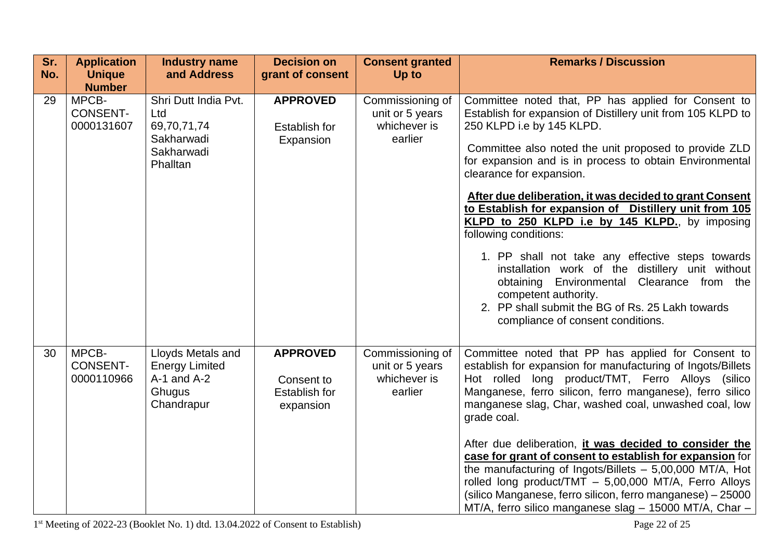| Sr.<br>No. | <b>Application</b><br><b>Unique</b><br><b>Number</b> | <b>Industry name</b><br>and Address                                                   | <b>Decision on</b><br>grant of consent                      | <b>Consent granted</b><br>Up to                                | <b>Remarks / Discussion</b>                                                                                                                                                                                                                                                                                                                                                                                                                                                                                                                                                                                                                                                                                                                                            |
|------------|------------------------------------------------------|---------------------------------------------------------------------------------------|-------------------------------------------------------------|----------------------------------------------------------------|------------------------------------------------------------------------------------------------------------------------------------------------------------------------------------------------------------------------------------------------------------------------------------------------------------------------------------------------------------------------------------------------------------------------------------------------------------------------------------------------------------------------------------------------------------------------------------------------------------------------------------------------------------------------------------------------------------------------------------------------------------------------|
| 29         | MPCB-<br><b>CONSENT-</b><br>0000131607               | Shri Dutt India Pvt.<br>Ltd<br>69,70,71,74<br>Sakharwadi<br>Sakharwadi<br>Phalltan    | <b>APPROVED</b><br>Establish for<br>Expansion               | Commissioning of<br>unit or 5 years<br>whichever is<br>earlier | Committee noted that, PP has applied for Consent to<br>Establish for expansion of Distillery unit from 105 KLPD to<br>250 KLPD i.e by 145 KLPD.<br>Committee also noted the unit proposed to provide ZLD<br>for expansion and is in process to obtain Environmental<br>clearance for expansion.<br>After due deliberation, it was decided to grant Consent<br>to Establish for expansion of Distillery unit from 105<br>KLPD to 250 KLPD i.e by 145 KLPD., by imposing<br>following conditions:<br>1. PP shall not take any effective steps towards<br>installation work of the distillery unit without<br>obtaining Environmental Clearance from the<br>competent authority.<br>2. PP shall submit the BG of Rs. 25 Lakh towards<br>compliance of consent conditions. |
| 30         | MPCB-<br><b>CONSENT-</b><br>0000110966               | Lloyds Metals and<br><b>Energy Limited</b><br>$A-1$ and $A-2$<br>Ghugus<br>Chandrapur | <b>APPROVED</b><br>Consent to<br>Establish for<br>expansion | Commissioning of<br>unit or 5 years<br>whichever is<br>earlier | Committee noted that PP has applied for Consent to<br>establish for expansion for manufacturing of Ingots/Billets<br>Hot rolled long product/TMT, Ferro Alloys (silico<br>Manganese, ferro silicon, ferro manganese), ferro silico<br>manganese slag, Char, washed coal, unwashed coal, low<br>grade coal.<br>After due deliberation, it was decided to consider the<br>case for grant of consent to establish for expansion for<br>the manufacturing of Ingots/Billets $-5,00,000$ MT/A, Hot<br>rolled long product/TMT - 5,00,000 MT/A, Ferro Alloys<br>(silico Manganese, ferro silicon, ferro manganese) - 25000<br>MT/A, ferro silico manganese slag - 15000 MT/A, Char -                                                                                         |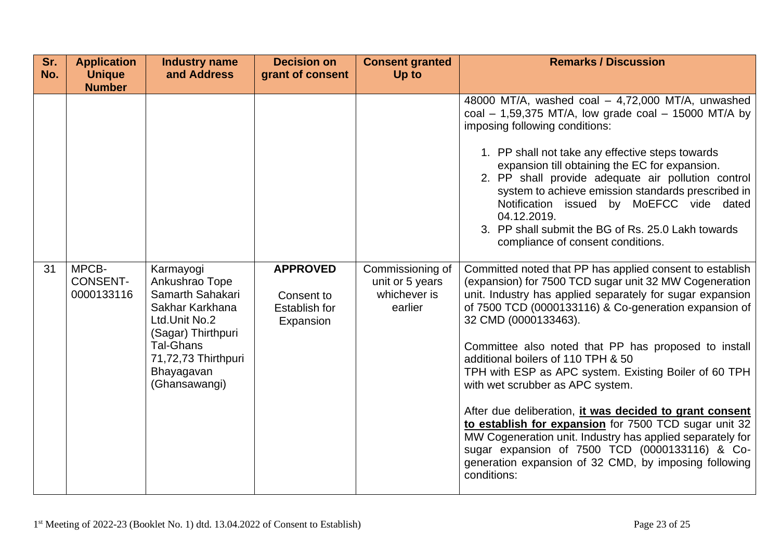| Sr.<br>No. | <b>Application</b><br><b>Unique</b><br><b>Number</b> | <b>Industry name</b><br>and Address                                                                                                                                                 | <b>Decision on</b><br>grant of consent                      | <b>Consent granted</b><br><b>Up to</b>                         | <b>Remarks / Discussion</b>                                                                                                                                                                                                                                                                                                                                                                                                                                                                                                                                                                                                                                                                                                                                            |
|------------|------------------------------------------------------|-------------------------------------------------------------------------------------------------------------------------------------------------------------------------------------|-------------------------------------------------------------|----------------------------------------------------------------|------------------------------------------------------------------------------------------------------------------------------------------------------------------------------------------------------------------------------------------------------------------------------------------------------------------------------------------------------------------------------------------------------------------------------------------------------------------------------------------------------------------------------------------------------------------------------------------------------------------------------------------------------------------------------------------------------------------------------------------------------------------------|
|            |                                                      |                                                                                                                                                                                     |                                                             |                                                                | 48000 MT/A, washed coal - 4,72,000 MT/A, unwashed<br>coal $-$ 1,59,375 MT/A, low grade coal $-$ 15000 MT/A by<br>imposing following conditions:<br>1. PP shall not take any effective steps towards<br>expansion till obtaining the EC for expansion.<br>2. PP shall provide adequate air pollution control<br>system to achieve emission standards prescribed in<br>Notification issued by MoEFCC vide dated<br>04.12.2019.<br>3. PP shall submit the BG of Rs. 25.0 Lakh towards<br>compliance of consent conditions.                                                                                                                                                                                                                                                |
| 31         | MPCB-<br><b>CONSENT-</b><br>0000133116               | Karmayogi<br>Ankushrao Tope<br>Samarth Sahakari<br>Sakhar Karkhana<br>Ltd.Unit No.2<br>(Sagar) Thirthpuri<br><b>Tal-Ghans</b><br>71,72,73 Thirthpuri<br>Bhayagavan<br>(Ghansawangi) | <b>APPROVED</b><br>Consent to<br>Establish for<br>Expansion | Commissioning of<br>unit or 5 years<br>whichever is<br>earlier | Committed noted that PP has applied consent to establish<br>(expansion) for 7500 TCD sugar unit 32 MW Cogeneration<br>unit. Industry has applied separately for sugar expansion<br>of 7500 TCD (0000133116) & Co-generation expansion of<br>32 CMD (0000133463).<br>Committee also noted that PP has proposed to install<br>additional boilers of 110 TPH & 50<br>TPH with ESP as APC system. Existing Boiler of 60 TPH<br>with wet scrubber as APC system.<br>After due deliberation, it was decided to grant consent<br>to establish for expansion for 7500 TCD sugar unit 32<br>MW Cogeneration unit. Industry has applied separately for<br>sugar expansion of 7500 TCD (0000133116) & Co-<br>generation expansion of 32 CMD, by imposing following<br>conditions: |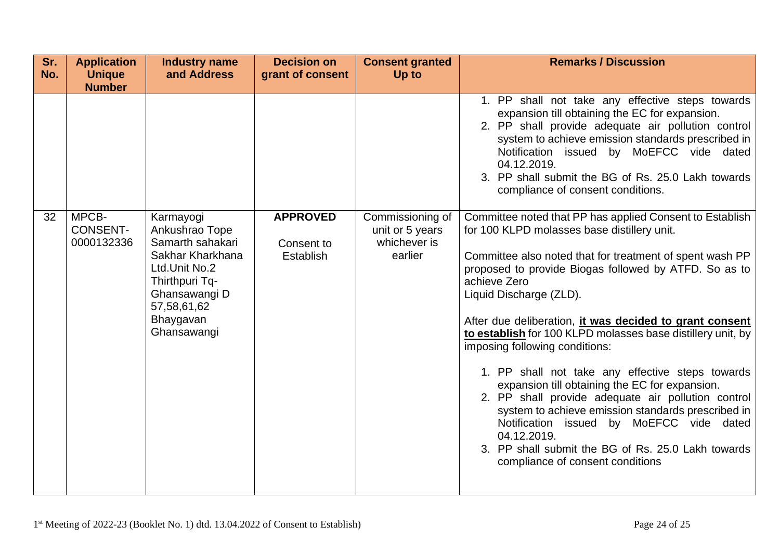| Sr.<br>No. | <b>Application</b><br><b>Unique</b><br><b>Number</b> | <b>Industry name</b><br>and Address                                                                                                                                | <b>Decision on</b><br>grant of consent     | <b>Consent granted</b><br>Up to                                | <b>Remarks / Discussion</b>                                                                                                                                                                                                                                                                                                                                                                                                                                                                                                                                                                                                                                                                                                                                                                                |
|------------|------------------------------------------------------|--------------------------------------------------------------------------------------------------------------------------------------------------------------------|--------------------------------------------|----------------------------------------------------------------|------------------------------------------------------------------------------------------------------------------------------------------------------------------------------------------------------------------------------------------------------------------------------------------------------------------------------------------------------------------------------------------------------------------------------------------------------------------------------------------------------------------------------------------------------------------------------------------------------------------------------------------------------------------------------------------------------------------------------------------------------------------------------------------------------------|
|            |                                                      |                                                                                                                                                                    |                                            |                                                                | 1. PP shall not take any effective steps towards<br>expansion till obtaining the EC for expansion.<br>2. PP shall provide adequate air pollution control<br>system to achieve emission standards prescribed in<br>Notification issued by MoEFCC vide dated<br>04.12.2019.<br>3. PP shall submit the BG of Rs. 25.0 Lakh towards<br>compliance of consent conditions.                                                                                                                                                                                                                                                                                                                                                                                                                                       |
| 32         | MPCB-<br><b>CONSENT-</b><br>0000132336               | Karmayogi<br>Ankushrao Tope<br>Samarth sahakari<br>Sakhar Kharkhana<br>Ltd.Unit No.2<br>Thirthpuri Tq-<br>Ghansawangi D<br>57,58,61,62<br>Bhaygavan<br>Ghansawangi | <b>APPROVED</b><br>Consent to<br>Establish | Commissioning of<br>unit or 5 years<br>whichever is<br>earlier | Committee noted that PP has applied Consent to Establish<br>for 100 KLPD molasses base distillery unit.<br>Committee also noted that for treatment of spent wash PP<br>proposed to provide Biogas followed by ATFD. So as to<br>achieve Zero<br>Liquid Discharge (ZLD).<br>After due deliberation, it was decided to grant consent<br>to establish for 100 KLPD molasses base distillery unit, by<br>imposing following conditions:<br>1. PP shall not take any effective steps towards<br>expansion till obtaining the EC for expansion.<br>2. PP shall provide adequate air pollution control<br>system to achieve emission standards prescribed in<br>Notification issued by MoEFCC vide dated<br>04.12.2019.<br>3. PP shall submit the BG of Rs. 25.0 Lakh towards<br>compliance of consent conditions |